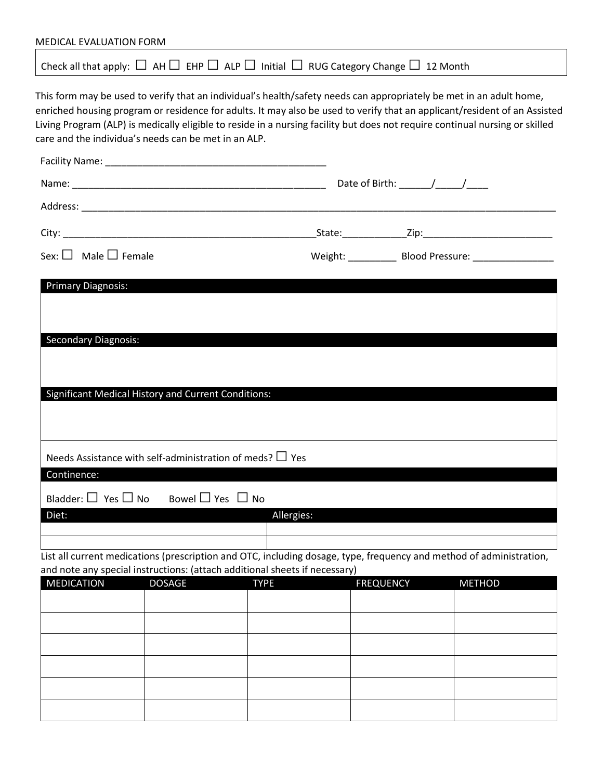| MEDICAL EVALUATION FORM        |                                                                                                                                                                                                                                                                                                                                                                                                                                          |                  |               |  |
|--------------------------------|------------------------------------------------------------------------------------------------------------------------------------------------------------------------------------------------------------------------------------------------------------------------------------------------------------------------------------------------------------------------------------------------------------------------------------------|------------------|---------------|--|
|                                | Check all that apply: $\Box$ AH $\Box$ EHP $\Box$ ALP $\Box$ Initial $\Box$ RUG Category Change $\Box$ 12 Month                                                                                                                                                                                                                                                                                                                          |                  |               |  |
|                                | This form may be used to verify that an individual's health/safety needs can appropriately be met in an adult home,<br>enriched housing program or residence for adults. It may also be used to verify that an applicant/resident of an Assisted<br>Living Program (ALP) is medically eligible to reside in a nursing facility but does not require continual nursing or skilled<br>care and the individua's needs can be met in an ALP. |                  |               |  |
|                                |                                                                                                                                                                                                                                                                                                                                                                                                                                          |                  |               |  |
|                                |                                                                                                                                                                                                                                                                                                                                                                                                                                          |                  |               |  |
|                                |                                                                                                                                                                                                                                                                                                                                                                                                                                          |                  |               |  |
|                                |                                                                                                                                                                                                                                                                                                                                                                                                                                          |                  |               |  |
| Sex: $\Box$ Male $\Box$ Female |                                                                                                                                                                                                                                                                                                                                                                                                                                          |                  |               |  |
|                                |                                                                                                                                                                                                                                                                                                                                                                                                                                          |                  |               |  |
| <b>Primary Diagnosis:</b>      |                                                                                                                                                                                                                                                                                                                                                                                                                                          |                  |               |  |
|                                |                                                                                                                                                                                                                                                                                                                                                                                                                                          |                  |               |  |
| <b>Secondary Diagnosis:</b>    |                                                                                                                                                                                                                                                                                                                                                                                                                                          |                  |               |  |
|                                |                                                                                                                                                                                                                                                                                                                                                                                                                                          |                  |               |  |
|                                |                                                                                                                                                                                                                                                                                                                                                                                                                                          |                  |               |  |
|                                |                                                                                                                                                                                                                                                                                                                                                                                                                                          |                  |               |  |
|                                | <b>Significant Medical History and Current Conditions:</b>                                                                                                                                                                                                                                                                                                                                                                               |                  |               |  |
|                                |                                                                                                                                                                                                                                                                                                                                                                                                                                          |                  |               |  |
|                                |                                                                                                                                                                                                                                                                                                                                                                                                                                          |                  |               |  |
|                                |                                                                                                                                                                                                                                                                                                                                                                                                                                          |                  |               |  |
|                                | Needs Assistance with self-administration of meds? $\Box$ Yes                                                                                                                                                                                                                                                                                                                                                                            |                  |               |  |
| Continence:                    |                                                                                                                                                                                                                                                                                                                                                                                                                                          |                  |               |  |
| Bladder: $\Box$ Yes $\Box$ No  | Bowel $\Box$ Yes $\Box$ No                                                                                                                                                                                                                                                                                                                                                                                                               |                  |               |  |
| Diet:                          | Allergies:                                                                                                                                                                                                                                                                                                                                                                                                                               |                  |               |  |
|                                |                                                                                                                                                                                                                                                                                                                                                                                                                                          |                  |               |  |
|                                | List all current medications (prescription and OTC, including dosage, type, frequency and method of administration,                                                                                                                                                                                                                                                                                                                      |                  |               |  |
|                                | and note any special instructions: (attach additional sheets if necessary)                                                                                                                                                                                                                                                                                                                                                               |                  |               |  |
| <b>MEDICATION</b>              | <b>DOSAGE</b><br><b>TYPE</b>                                                                                                                                                                                                                                                                                                                                                                                                             | <b>FREQUENCY</b> | <b>METHOD</b> |  |
|                                |                                                                                                                                                                                                                                                                                                                                                                                                                                          |                  |               |  |
|                                |                                                                                                                                                                                                                                                                                                                                                                                                                                          |                  |               |  |
|                                |                                                                                                                                                                                                                                                                                                                                                                                                                                          |                  |               |  |
|                                |                                                                                                                                                                                                                                                                                                                                                                                                                                          |                  |               |  |
|                                |                                                                                                                                                                                                                                                                                                                                                                                                                                          |                  |               |  |
|                                |                                                                                                                                                                                                                                                                                                                                                                                                                                          |                  |               |  |
|                                |                                                                                                                                                                                                                                                                                                                                                                                                                                          |                  |               |  |